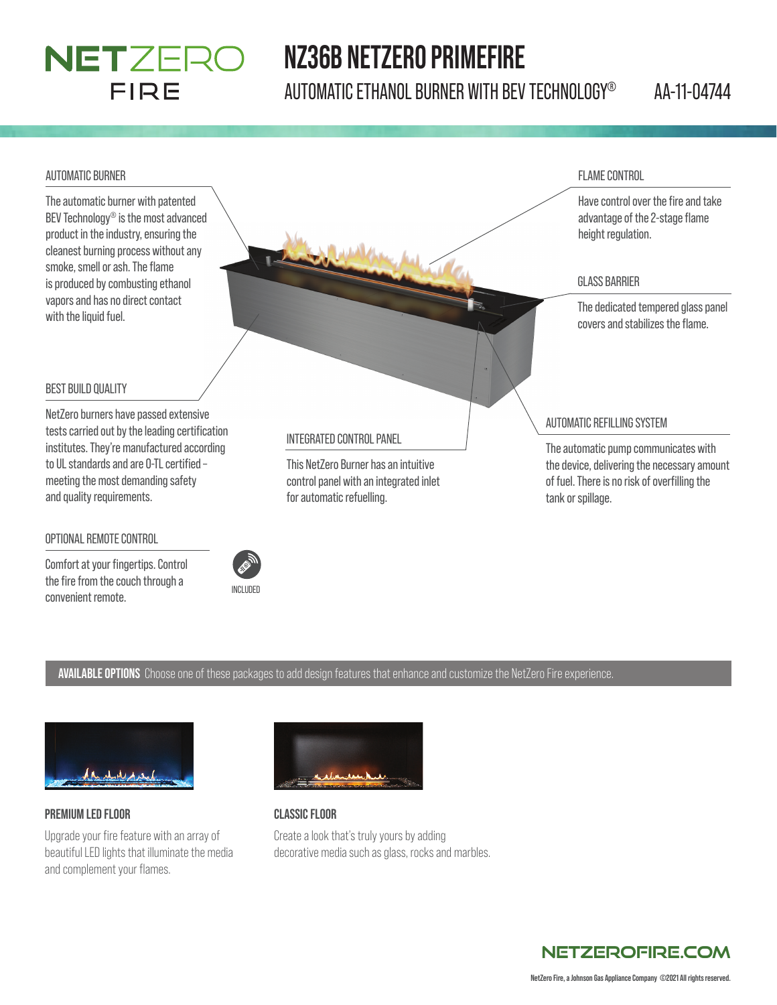# NETZERO **FIRE**

# **NZ36B NETZERO PRIMEFIRE**

AUTOMATIC ETHANOL BURNER WITH BEV TECHNOLOGY® AA-11-04744

#### AUTOMATIC BURNER

The automatic burner with patented BEV Technology® is the most advanced product in the industry, ensuring the cleanest burning process without any smoke, smell or ash. The flame is produced by combusting ethanol vapors and has no direct contact with the liquid fuel.

#### FLAME CONTROL

Have control over the fire and take advantage of the 2-stage flame height regulation.

#### GLASS BARRIER

The dedicated tempered glass panel covers and stabilizes the flame.

#### BEST BUILD QUALITY

NetZero burners have passed extensive tests carried out by the leading certification institutes. They're manufactured according to UL standards and are 0-TL certified meeting the most demanding safety and quality requirements.

#### OPTIONAL REMOTE CONTROL

Comfort at your fingertips. Control the fire from the couch through a convenient remote.



#### INTEGRATED CONTROL PANEL

This NetZero Burner has an intuitive control panel with an integrated inlet for automatic refuelling.

#### AUTOMATIC REFILLING SYSTEM

The automatic pump communicates with the device, delivering the necessary amount of fuel. There is no risk of overfilling the tank or spillage.

#### **AVAILABLE OPTIONS** Choose one of these packages to add design features that enhance and customize the NetZero Fire experience.



#### **PREMIUM LED FLOOR**

Upgrade your fire feature with an array of beautiful LED lights that illuminate the media and complement your flames.



### **CLASSIC FLOOR**

Create a look that's truly yours by adding decorative media such as glass, rocks and marbles.